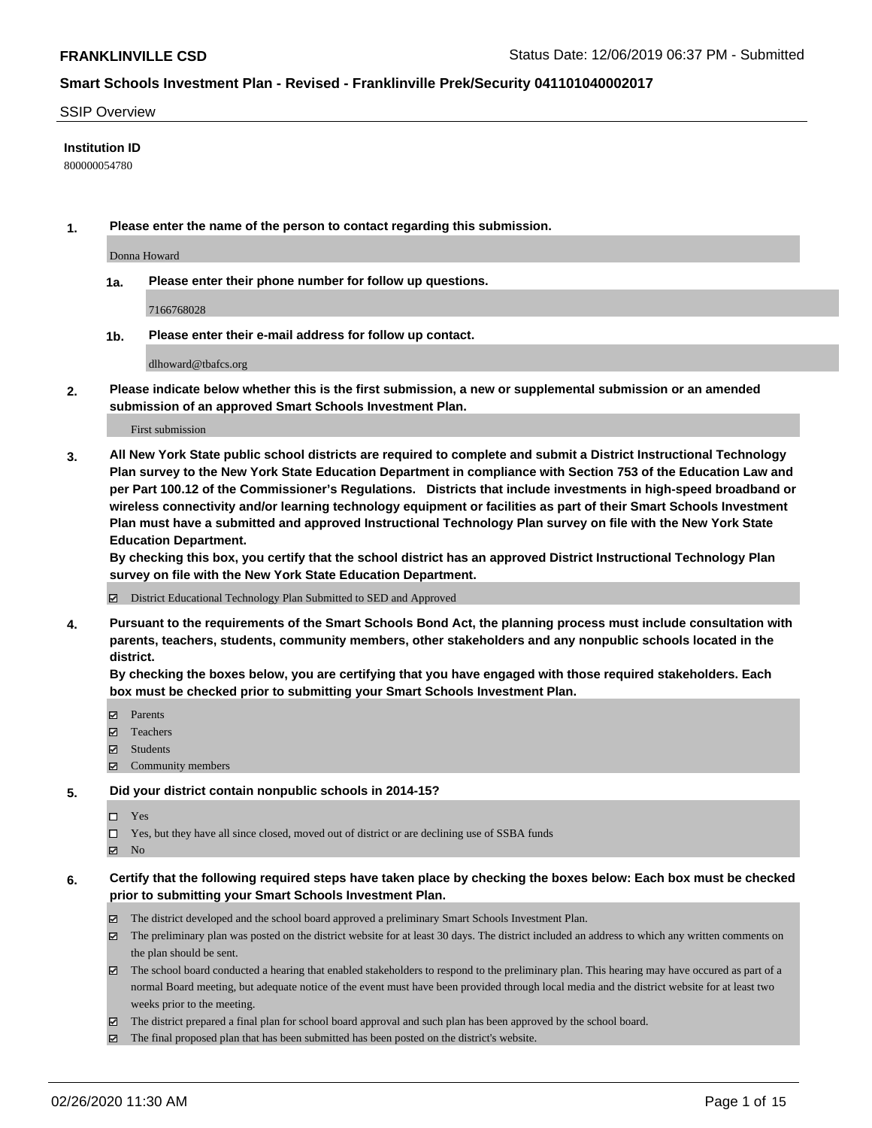#### SSIP Overview

#### **Institution ID**

800000054780

**1. Please enter the name of the person to contact regarding this submission.**

Donna Howard

**1a. Please enter their phone number for follow up questions.**

7166768028

**1b. Please enter their e-mail address for follow up contact.**

dlhoward@tbafcs.org

**2. Please indicate below whether this is the first submission, a new or supplemental submission or an amended submission of an approved Smart Schools Investment Plan.**

#### First submission

**3. All New York State public school districts are required to complete and submit a District Instructional Technology Plan survey to the New York State Education Department in compliance with Section 753 of the Education Law and per Part 100.12 of the Commissioner's Regulations. Districts that include investments in high-speed broadband or wireless connectivity and/or learning technology equipment or facilities as part of their Smart Schools Investment Plan must have a submitted and approved Instructional Technology Plan survey on file with the New York State Education Department.** 

**By checking this box, you certify that the school district has an approved District Instructional Technology Plan survey on file with the New York State Education Department.**

District Educational Technology Plan Submitted to SED and Approved

**4. Pursuant to the requirements of the Smart Schools Bond Act, the planning process must include consultation with parents, teachers, students, community members, other stakeholders and any nonpublic schools located in the district.** 

**By checking the boxes below, you are certifying that you have engaged with those required stakeholders. Each box must be checked prior to submitting your Smart Schools Investment Plan.**

- **マ** Parents
- Teachers
- Students
- Community members

#### **5. Did your district contain nonpublic schools in 2014-15?**

 $\neg$  Yes

Yes, but they have all since closed, moved out of district or are declining use of SSBA funds

**Z** No

### **6. Certify that the following required steps have taken place by checking the boxes below: Each box must be checked prior to submitting your Smart Schools Investment Plan.**

- The district developed and the school board approved a preliminary Smart Schools Investment Plan.
- $\boxtimes$  The preliminary plan was posted on the district website for at least 30 days. The district included an address to which any written comments on the plan should be sent.
- $\boxtimes$  The school board conducted a hearing that enabled stakeholders to respond to the preliminary plan. This hearing may have occured as part of a normal Board meeting, but adequate notice of the event must have been provided through local media and the district website for at least two weeks prior to the meeting.
- The district prepared a final plan for school board approval and such plan has been approved by the school board.
- $\boxtimes$  The final proposed plan that has been submitted has been posted on the district's website.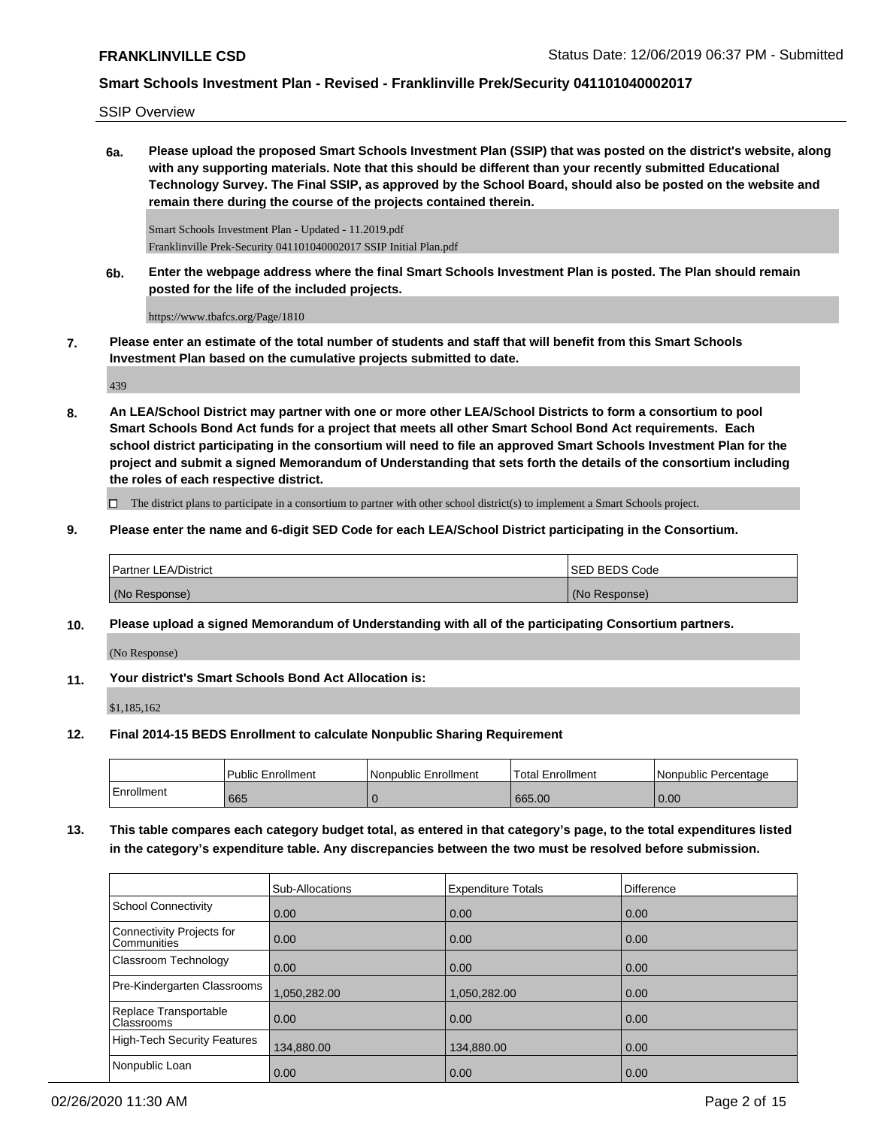SSIP Overview

**6a. Please upload the proposed Smart Schools Investment Plan (SSIP) that was posted on the district's website, along with any supporting materials. Note that this should be different than your recently submitted Educational Technology Survey. The Final SSIP, as approved by the School Board, should also be posted on the website and remain there during the course of the projects contained therein.**

Smart Schools Investment Plan - Updated - 11.2019.pdf Franklinville Prek-Security 041101040002017 SSIP Initial Plan.pdf

**6b. Enter the webpage address where the final Smart Schools Investment Plan is posted. The Plan should remain posted for the life of the included projects.**

https://www.tbafcs.org/Page/1810

**7. Please enter an estimate of the total number of students and staff that will benefit from this Smart Schools Investment Plan based on the cumulative projects submitted to date.**

439

**8. An LEA/School District may partner with one or more other LEA/School Districts to form a consortium to pool Smart Schools Bond Act funds for a project that meets all other Smart School Bond Act requirements. Each school district participating in the consortium will need to file an approved Smart Schools Investment Plan for the project and submit a signed Memorandum of Understanding that sets forth the details of the consortium including the roles of each respective district.**

 $\Box$  The district plans to participate in a consortium to partner with other school district(s) to implement a Smart Schools project.

**9. Please enter the name and 6-digit SED Code for each LEA/School District participating in the Consortium.**

| <b>Partner LEA/District</b> | <b>ISED BEDS Code</b> |
|-----------------------------|-----------------------|
| (No Response)               | (No Response)         |

**10. Please upload a signed Memorandum of Understanding with all of the participating Consortium partners.**

(No Response)

**11. Your district's Smart Schools Bond Act Allocation is:**

\$1,185,162

**12. Final 2014-15 BEDS Enrollment to calculate Nonpublic Sharing Requirement**

|            | <b>Public Enrollment</b> | Nonpublic Enrollment | 'Total Enrollment | l Nonpublic Percentage |
|------------|--------------------------|----------------------|-------------------|------------------------|
| Enrollment | 665                      |                      | 665.00            | 0.00                   |

**13. This table compares each category budget total, as entered in that category's page, to the total expenditures listed in the category's expenditure table. Any discrepancies between the two must be resolved before submission.**

|                                            | <b>Sub-Allocations</b> | <b>Expenditure Totals</b> | <b>Difference</b> |
|--------------------------------------------|------------------------|---------------------------|-------------------|
| School Connectivity                        | 0.00                   | 0.00                      | 0.00              |
| Connectivity Projects for<br>l Communities | $\overline{0.00}$      | 0.00                      | 0.00              |
| Classroom Technology                       | $\overline{0.00}$      | 0.00                      | 0.00              |
| Pre-Kindergarten Classrooms                | 1.050.282.00           | 1.050.282.00              | 0.00              |
| Replace Transportable<br><b>Classrooms</b> | $\overline{0.00}$      | 0.00                      | 0.00              |
| High-Tech Security Features                | 134,880.00             | 134,880.00                | 0.00              |
| Nonpublic Loan                             | 0.00                   | 0.00                      | 0.00              |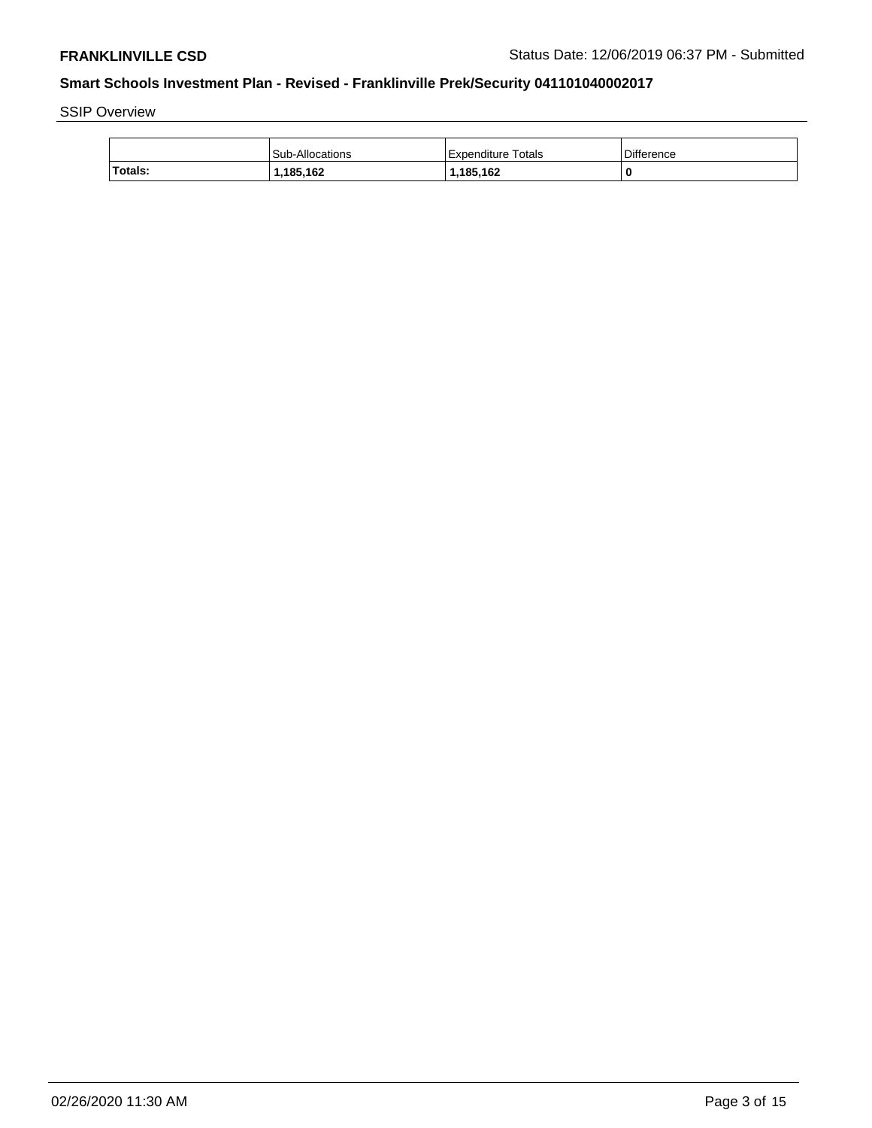SSIP Overview

|         | Sub-Allocations | <b>Expenditure Totals</b> | <b>Difference</b> |
|---------|-----------------|---------------------------|-------------------|
| Totals: | 185,162.ا       | 1,185,162                 |                   |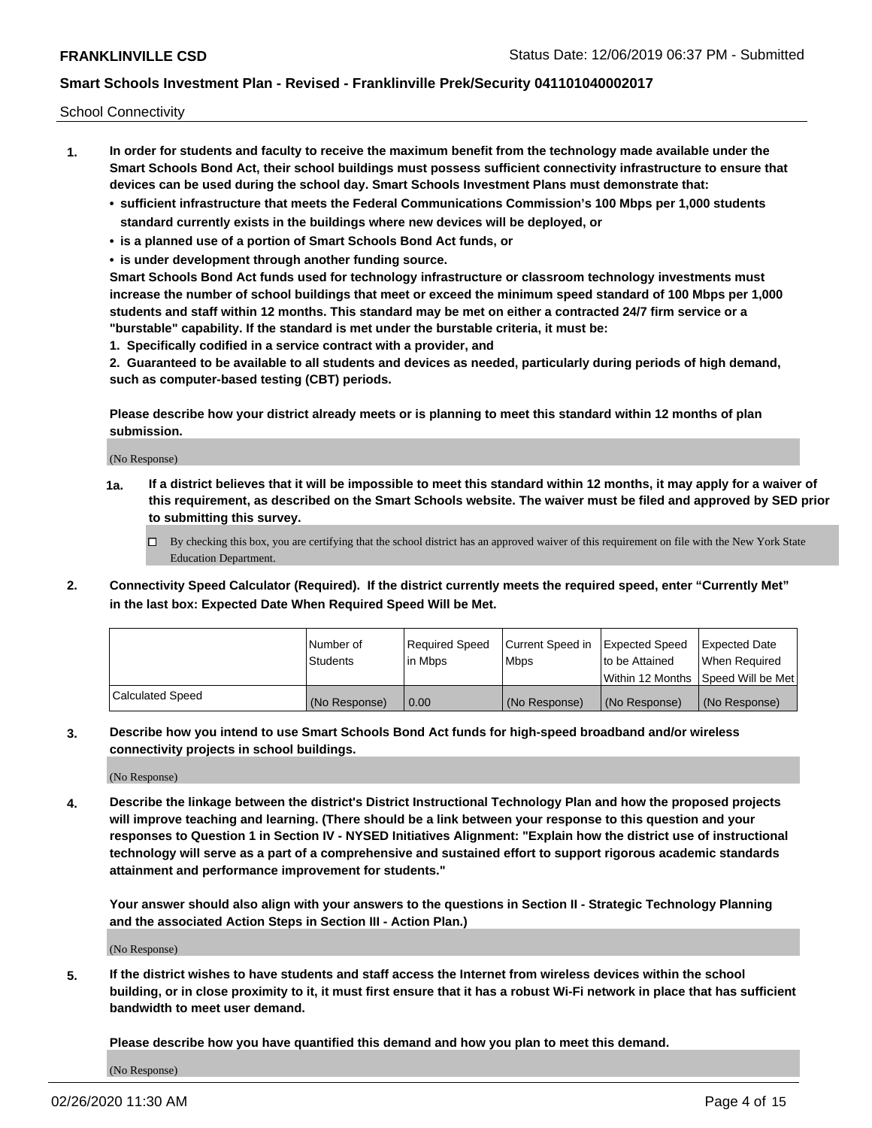School Connectivity

- **1. In order for students and faculty to receive the maximum benefit from the technology made available under the Smart Schools Bond Act, their school buildings must possess sufficient connectivity infrastructure to ensure that devices can be used during the school day. Smart Schools Investment Plans must demonstrate that:**
	- **• sufficient infrastructure that meets the Federal Communications Commission's 100 Mbps per 1,000 students standard currently exists in the buildings where new devices will be deployed, or**
	- **• is a planned use of a portion of Smart Schools Bond Act funds, or**
	- **• is under development through another funding source.**

**Smart Schools Bond Act funds used for technology infrastructure or classroom technology investments must increase the number of school buildings that meet or exceed the minimum speed standard of 100 Mbps per 1,000 students and staff within 12 months. This standard may be met on either a contracted 24/7 firm service or a "burstable" capability. If the standard is met under the burstable criteria, it must be:**

**1. Specifically codified in a service contract with a provider, and**

**2. Guaranteed to be available to all students and devices as needed, particularly during periods of high demand, such as computer-based testing (CBT) periods.**

**Please describe how your district already meets or is planning to meet this standard within 12 months of plan submission.**

(No Response)

**1a. If a district believes that it will be impossible to meet this standard within 12 months, it may apply for a waiver of this requirement, as described on the Smart Schools website. The waiver must be filed and approved by SED prior to submitting this survey.**

 $\Box$  By checking this box, you are certifying that the school district has an approved waiver of this requirement on file with the New York State Education Department.

**2. Connectivity Speed Calculator (Required). If the district currently meets the required speed, enter "Currently Met" in the last box: Expected Date When Required Speed Will be Met.**

|                  | l Number of     | Required Speed | Current Speed in | Expected Speed | Expected Date                        |
|------------------|-----------------|----------------|------------------|----------------|--------------------------------------|
|                  | <b>Students</b> | In Mbps        | <b>Mbps</b>      | to be Attained | When Required                        |
|                  |                 |                |                  |                | Within 12 Months 1Speed Will be Met1 |
| Calculated Speed | (No Response)   | 0.00           | (No Response)    | (No Response)  | l (No Response)                      |

**3. Describe how you intend to use Smart Schools Bond Act funds for high-speed broadband and/or wireless connectivity projects in school buildings.**

(No Response)

**4. Describe the linkage between the district's District Instructional Technology Plan and how the proposed projects will improve teaching and learning. (There should be a link between your response to this question and your responses to Question 1 in Section IV - NYSED Initiatives Alignment: "Explain how the district use of instructional technology will serve as a part of a comprehensive and sustained effort to support rigorous academic standards attainment and performance improvement for students."** 

**Your answer should also align with your answers to the questions in Section II - Strategic Technology Planning and the associated Action Steps in Section III - Action Plan.)**

(No Response)

**5. If the district wishes to have students and staff access the Internet from wireless devices within the school building, or in close proximity to it, it must first ensure that it has a robust Wi-Fi network in place that has sufficient bandwidth to meet user demand.**

**Please describe how you have quantified this demand and how you plan to meet this demand.**

(No Response)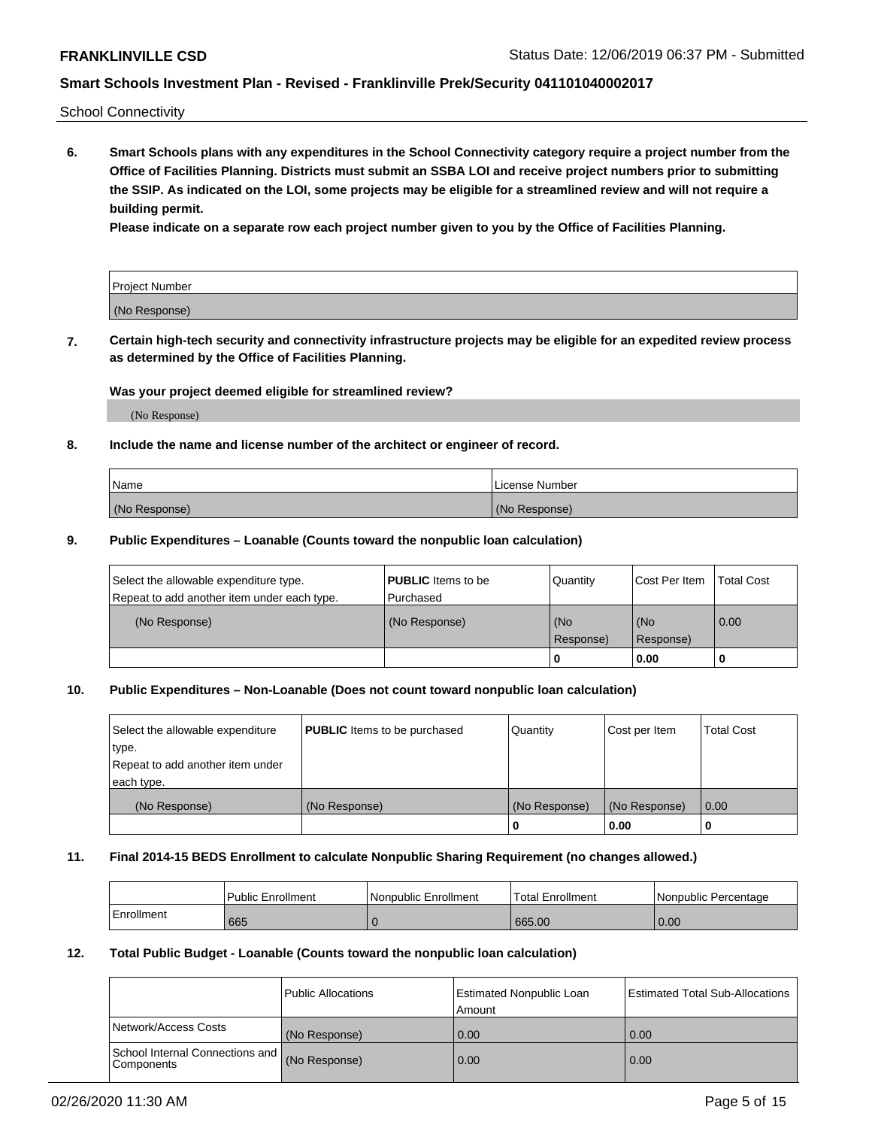School Connectivity

**6. Smart Schools plans with any expenditures in the School Connectivity category require a project number from the Office of Facilities Planning. Districts must submit an SSBA LOI and receive project numbers prior to submitting the SSIP. As indicated on the LOI, some projects may be eligible for a streamlined review and will not require a building permit.**

**Please indicate on a separate row each project number given to you by the Office of Facilities Planning.**

| Project Number |  |
|----------------|--|
| (No Response)  |  |

**7. Certain high-tech security and connectivity infrastructure projects may be eligible for an expedited review process as determined by the Office of Facilities Planning.**

#### **Was your project deemed eligible for streamlined review?**

(No Response)

### **8. Include the name and license number of the architect or engineer of record.**

| Name          | License Number |
|---------------|----------------|
| (No Response) | (No Response)  |

#### **9. Public Expenditures – Loanable (Counts toward the nonpublic loan calculation)**

| Select the allowable expenditure type.<br>Repeat to add another item under each type. | <b>PUBLIC</b> Items to be<br>l Purchased | Quantity         | l Cost Per Item  | <b>Total Cost</b> |
|---------------------------------------------------------------------------------------|------------------------------------------|------------------|------------------|-------------------|
| (No Response)                                                                         | (No Response)                            | (No<br>Response) | (No<br>Response) | 0.00              |
|                                                                                       |                                          | 0                | 0.00             |                   |

### **10. Public Expenditures – Non-Loanable (Does not count toward nonpublic loan calculation)**

| Select the allowable expenditure<br>type.<br>Repeat to add another item under<br>each type. | <b>PUBLIC</b> Items to be purchased | Quantity      | Cost per Item | <b>Total Cost</b> |
|---------------------------------------------------------------------------------------------|-------------------------------------|---------------|---------------|-------------------|
| (No Response)                                                                               | (No Response)                       | (No Response) | (No Response) | 0.00              |
|                                                                                             |                                     |               | 0.00          |                   |

#### **11. Final 2014-15 BEDS Enrollment to calculate Nonpublic Sharing Requirement (no changes allowed.)**

|            | l Public Enrollment | Nonpublic Enrollment | Total Enrollment | l Nonpublic Percentage |
|------------|---------------------|----------------------|------------------|------------------------|
| Enrollment | 665                 |                      | 665.00           | 0.00                   |

#### **12. Total Public Budget - Loanable (Counts toward the nonpublic loan calculation)**

|                                                      | Public Allocations | <b>Estimated Nonpublic Loan</b><br>Amount | Estimated Total Sub-Allocations |
|------------------------------------------------------|--------------------|-------------------------------------------|---------------------------------|
| Network/Access Costs                                 | (No Response)      | 0.00                                      | 0.00                            |
| School Internal Connections and<br><b>Components</b> | (No Response)      | 0.00                                      | 0.00                            |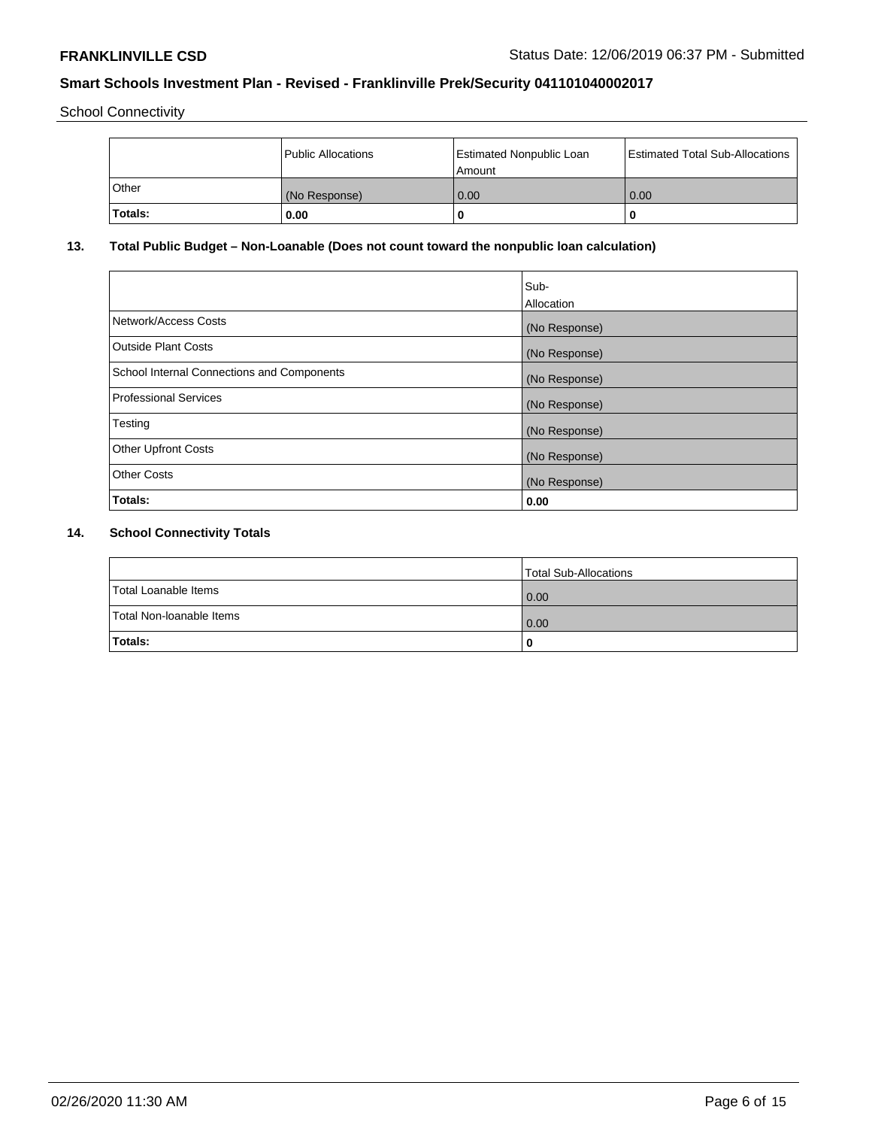School Connectivity

|         | Public Allocations | <b>Estimated Nonpublic Loan</b><br>Amount | <b>Estimated Total Sub-Allocations</b> |
|---------|--------------------|-------------------------------------------|----------------------------------------|
| ⊺Other  | (No Response)      | 0.00                                      | 0.00                                   |
| Totals: | 0.00               |                                           | 0                                      |

# **13. Total Public Budget – Non-Loanable (Does not count toward the nonpublic loan calculation)**

|                                                   | Sub-<br>Allocation |
|---------------------------------------------------|--------------------|
| Network/Access Costs                              | (No Response)      |
| Outside Plant Costs                               | (No Response)      |
| <b>School Internal Connections and Components</b> | (No Response)      |
| <b>Professional Services</b>                      | (No Response)      |
| Testing                                           | (No Response)      |
| <b>Other Upfront Costs</b>                        | (No Response)      |
| <b>Other Costs</b>                                | (No Response)      |
| Totals:                                           | 0.00               |

# **14. School Connectivity Totals**

|                          | Total Sub-Allocations |
|--------------------------|-----------------------|
| Total Loanable Items     | 0.00                  |
| Total Non-Ioanable Items | 0.00                  |
| Totals:                  | 0                     |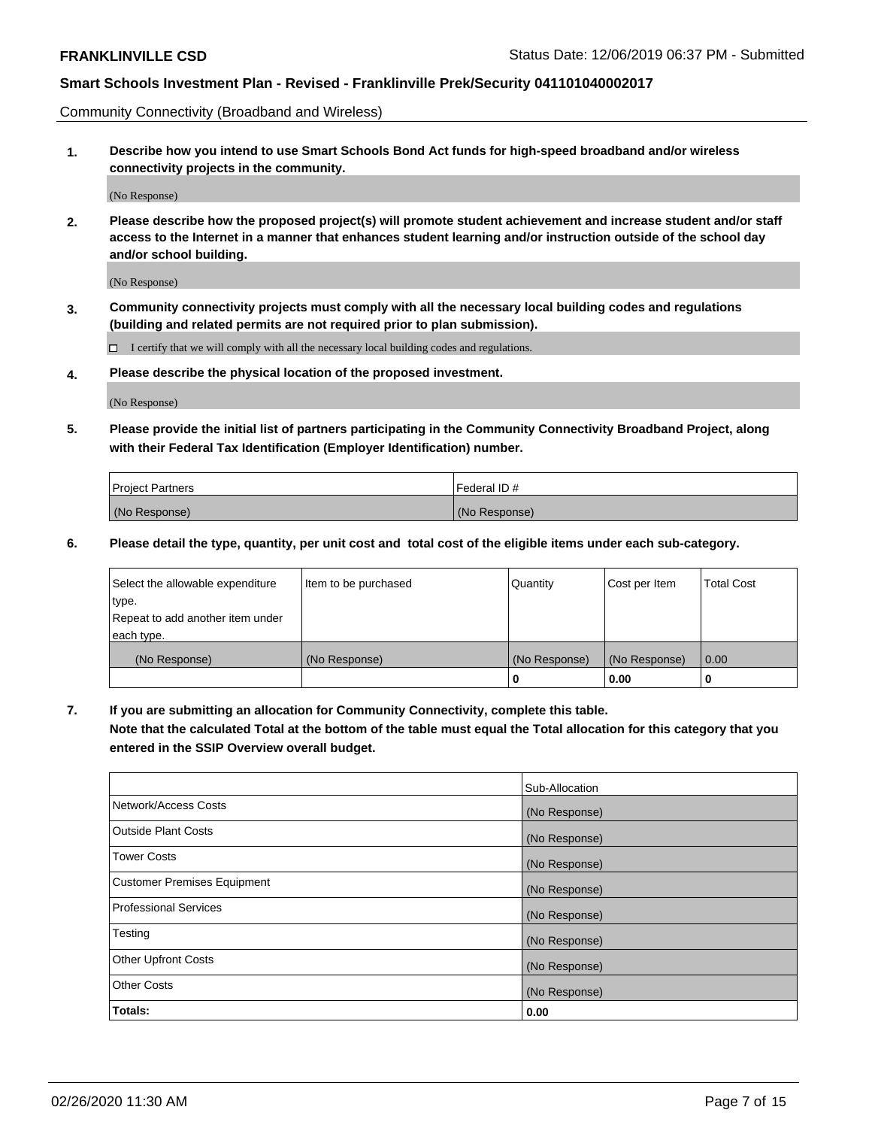Community Connectivity (Broadband and Wireless)

**1. Describe how you intend to use Smart Schools Bond Act funds for high-speed broadband and/or wireless connectivity projects in the community.**

(No Response)

**2. Please describe how the proposed project(s) will promote student achievement and increase student and/or staff access to the Internet in a manner that enhances student learning and/or instruction outside of the school day and/or school building.**

(No Response)

**3. Community connectivity projects must comply with all the necessary local building codes and regulations (building and related permits are not required prior to plan submission).**

 $\Box$  I certify that we will comply with all the necessary local building codes and regulations.

**4. Please describe the physical location of the proposed investment.**

(No Response)

**5. Please provide the initial list of partners participating in the Community Connectivity Broadband Project, along with their Federal Tax Identification (Employer Identification) number.**

| <b>Project Partners</b> | l Federal ID # |
|-------------------------|----------------|
| (No Response)           | (No Response)  |

**6. Please detail the type, quantity, per unit cost and total cost of the eligible items under each sub-category.**

| Select the allowable expenditure | Item to be purchased | Quantity      | Cost per Item | <b>Total Cost</b> |
|----------------------------------|----------------------|---------------|---------------|-------------------|
| type.                            |                      |               |               |                   |
| Repeat to add another item under |                      |               |               |                   |
| each type.                       |                      |               |               |                   |
| (No Response)                    | (No Response)        | (No Response) | (No Response) | 0.00              |
|                                  |                      | o             | 0.00          |                   |

**7. If you are submitting an allocation for Community Connectivity, complete this table.**

**Note that the calculated Total at the bottom of the table must equal the Total allocation for this category that you entered in the SSIP Overview overall budget.**

|                                    | Sub-Allocation |
|------------------------------------|----------------|
| Network/Access Costs               | (No Response)  |
| Outside Plant Costs                | (No Response)  |
| <b>Tower Costs</b>                 | (No Response)  |
| <b>Customer Premises Equipment</b> | (No Response)  |
| <b>Professional Services</b>       | (No Response)  |
| Testing                            | (No Response)  |
| <b>Other Upfront Costs</b>         | (No Response)  |
| <b>Other Costs</b>                 | (No Response)  |
| Totals:                            | 0.00           |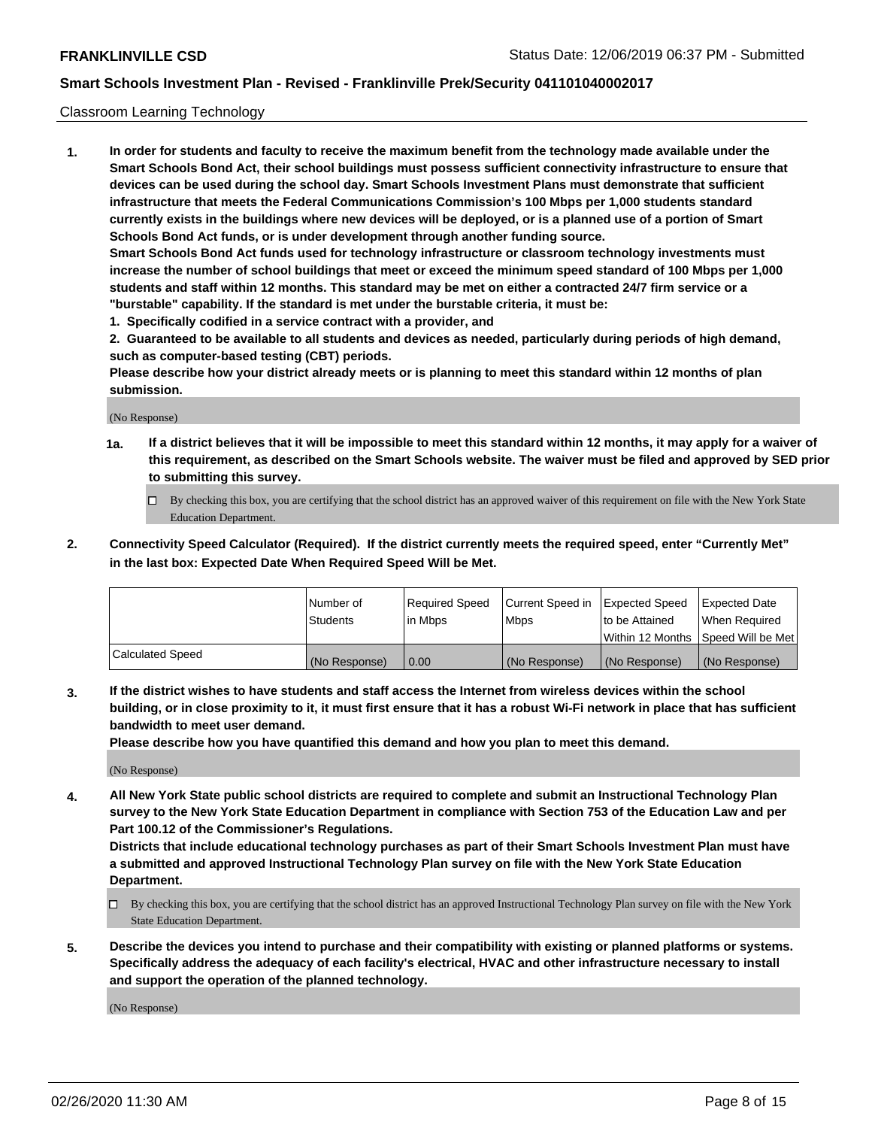### Classroom Learning Technology

**1. In order for students and faculty to receive the maximum benefit from the technology made available under the Smart Schools Bond Act, their school buildings must possess sufficient connectivity infrastructure to ensure that devices can be used during the school day. Smart Schools Investment Plans must demonstrate that sufficient infrastructure that meets the Federal Communications Commission's 100 Mbps per 1,000 students standard currently exists in the buildings where new devices will be deployed, or is a planned use of a portion of Smart Schools Bond Act funds, or is under development through another funding source. Smart Schools Bond Act funds used for technology infrastructure or classroom technology investments must increase the number of school buildings that meet or exceed the minimum speed standard of 100 Mbps per 1,000 students and staff within 12 months. This standard may be met on either a contracted 24/7 firm service or a "burstable" capability. If the standard is met under the burstable criteria, it must be:**

**1. Specifically codified in a service contract with a provider, and**

**2. Guaranteed to be available to all students and devices as needed, particularly during periods of high demand, such as computer-based testing (CBT) periods.**

**Please describe how your district already meets or is planning to meet this standard within 12 months of plan submission.**

(No Response)

- **1a. If a district believes that it will be impossible to meet this standard within 12 months, it may apply for a waiver of this requirement, as described on the Smart Schools website. The waiver must be filed and approved by SED prior to submitting this survey.**
	- By checking this box, you are certifying that the school district has an approved waiver of this requirement on file with the New York State Education Department.
- **2. Connectivity Speed Calculator (Required). If the district currently meets the required speed, enter "Currently Met" in the last box: Expected Date When Required Speed Will be Met.**

|                  | l Number of     | Required Speed | Current Speed in | <b>Expected Speed</b> | <b>Expected Date</b>                |
|------------------|-----------------|----------------|------------------|-----------------------|-------------------------------------|
|                  | <b>Students</b> | l in Mbps      | l Mbps           | to be Attained        | When Required                       |
|                  |                 |                |                  |                       | Within 12 Months  Speed Will be Met |
| Calculated Speed | (No Response)   | 0.00           | (No Response)    | l (No Response)       | (No Response)                       |

**3. If the district wishes to have students and staff access the Internet from wireless devices within the school building, or in close proximity to it, it must first ensure that it has a robust Wi-Fi network in place that has sufficient bandwidth to meet user demand.**

**Please describe how you have quantified this demand and how you plan to meet this demand.**

(No Response)

**4. All New York State public school districts are required to complete and submit an Instructional Technology Plan survey to the New York State Education Department in compliance with Section 753 of the Education Law and per Part 100.12 of the Commissioner's Regulations.**

**Districts that include educational technology purchases as part of their Smart Schools Investment Plan must have a submitted and approved Instructional Technology Plan survey on file with the New York State Education Department.**

- By checking this box, you are certifying that the school district has an approved Instructional Technology Plan survey on file with the New York State Education Department.
- **5. Describe the devices you intend to purchase and their compatibility with existing or planned platforms or systems. Specifically address the adequacy of each facility's electrical, HVAC and other infrastructure necessary to install and support the operation of the planned technology.**

(No Response)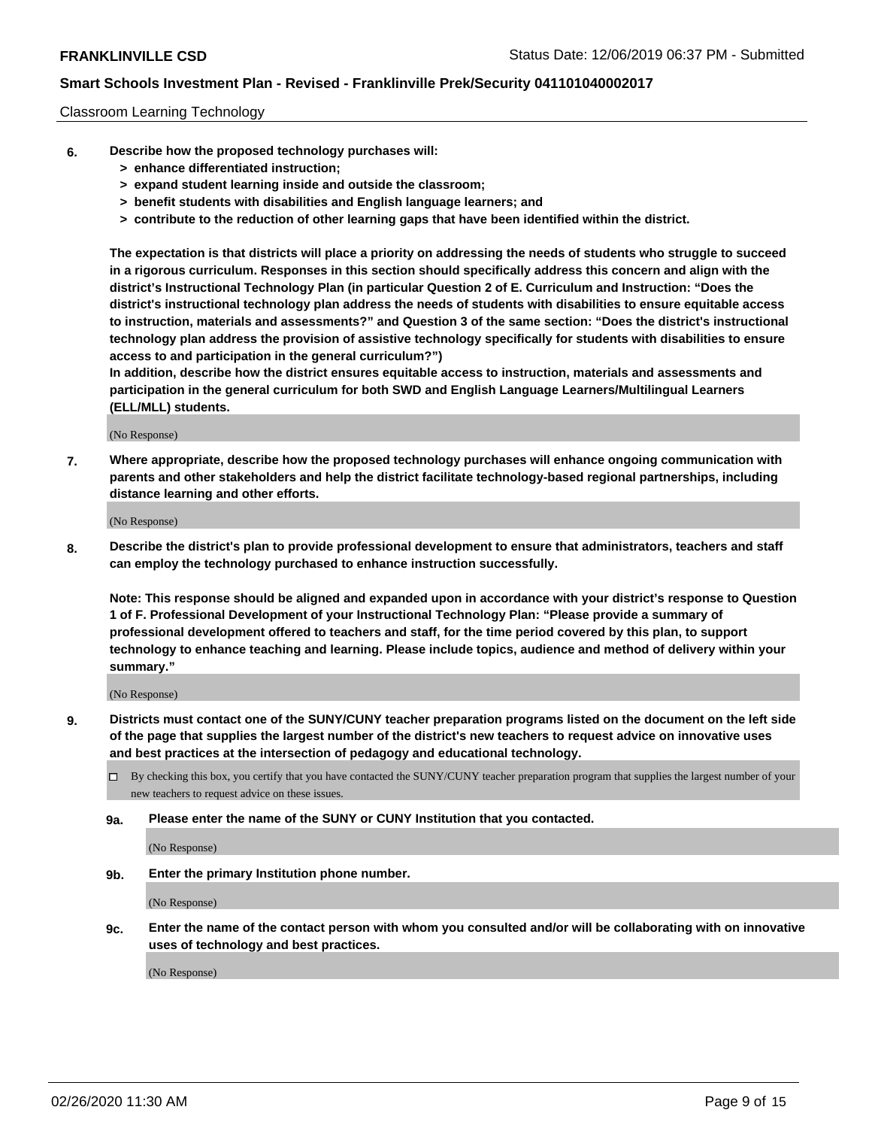#### Classroom Learning Technology

- **6. Describe how the proposed technology purchases will:**
	- **> enhance differentiated instruction;**
	- **> expand student learning inside and outside the classroom;**
	- **> benefit students with disabilities and English language learners; and**
	- **> contribute to the reduction of other learning gaps that have been identified within the district.**

**The expectation is that districts will place a priority on addressing the needs of students who struggle to succeed in a rigorous curriculum. Responses in this section should specifically address this concern and align with the district's Instructional Technology Plan (in particular Question 2 of E. Curriculum and Instruction: "Does the district's instructional technology plan address the needs of students with disabilities to ensure equitable access to instruction, materials and assessments?" and Question 3 of the same section: "Does the district's instructional technology plan address the provision of assistive technology specifically for students with disabilities to ensure access to and participation in the general curriculum?")**

**In addition, describe how the district ensures equitable access to instruction, materials and assessments and participation in the general curriculum for both SWD and English Language Learners/Multilingual Learners (ELL/MLL) students.**

(No Response)

**7. Where appropriate, describe how the proposed technology purchases will enhance ongoing communication with parents and other stakeholders and help the district facilitate technology-based regional partnerships, including distance learning and other efforts.**

(No Response)

**8. Describe the district's plan to provide professional development to ensure that administrators, teachers and staff can employ the technology purchased to enhance instruction successfully.**

**Note: This response should be aligned and expanded upon in accordance with your district's response to Question 1 of F. Professional Development of your Instructional Technology Plan: "Please provide a summary of professional development offered to teachers and staff, for the time period covered by this plan, to support technology to enhance teaching and learning. Please include topics, audience and method of delivery within your summary."**

(No Response)

- **9. Districts must contact one of the SUNY/CUNY teacher preparation programs listed on the document on the left side of the page that supplies the largest number of the district's new teachers to request advice on innovative uses and best practices at the intersection of pedagogy and educational technology.**
	- By checking this box, you certify that you have contacted the SUNY/CUNY teacher preparation program that supplies the largest number of your new teachers to request advice on these issues.
	- **9a. Please enter the name of the SUNY or CUNY Institution that you contacted.**

(No Response)

**9b. Enter the primary Institution phone number.**

(No Response)

**9c. Enter the name of the contact person with whom you consulted and/or will be collaborating with on innovative uses of technology and best practices.**

(No Response)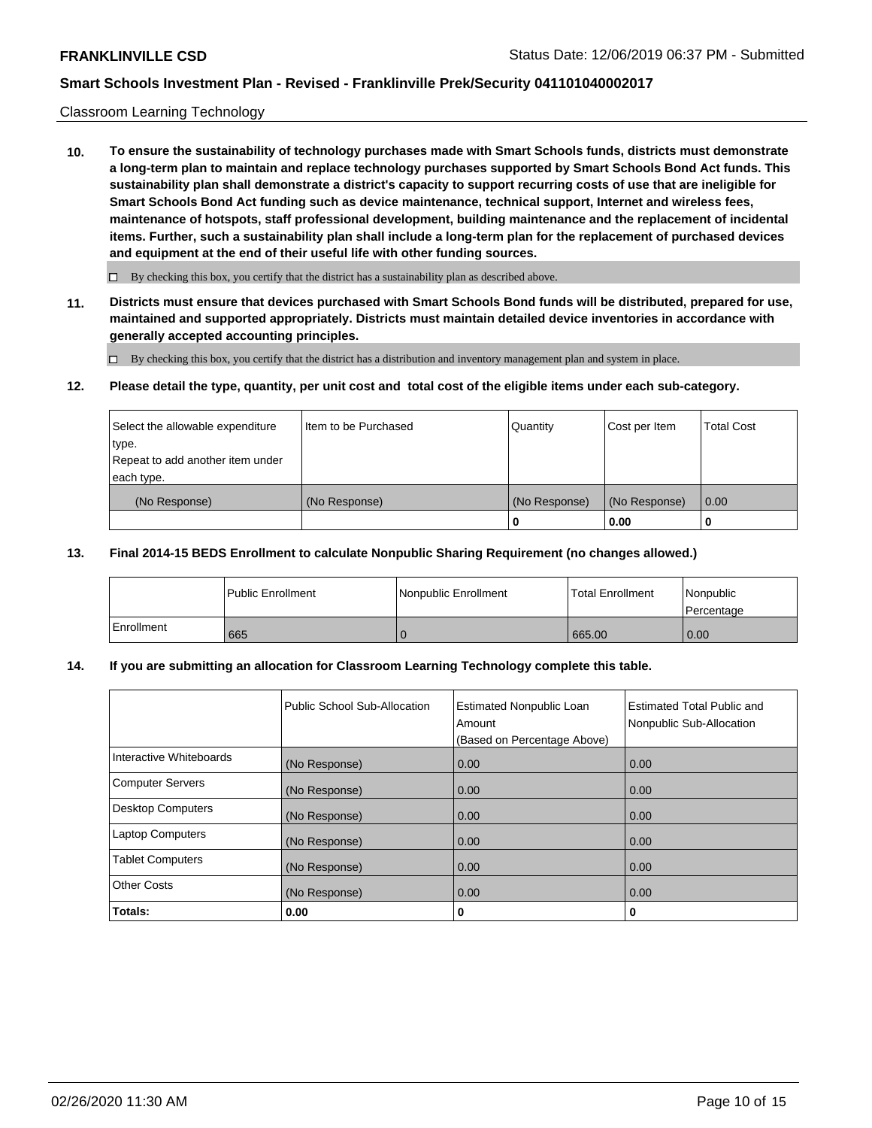#### Classroom Learning Technology

**10. To ensure the sustainability of technology purchases made with Smart Schools funds, districts must demonstrate a long-term plan to maintain and replace technology purchases supported by Smart Schools Bond Act funds. This sustainability plan shall demonstrate a district's capacity to support recurring costs of use that are ineligible for Smart Schools Bond Act funding such as device maintenance, technical support, Internet and wireless fees, maintenance of hotspots, staff professional development, building maintenance and the replacement of incidental items. Further, such a sustainability plan shall include a long-term plan for the replacement of purchased devices and equipment at the end of their useful life with other funding sources.**

 $\Box$  By checking this box, you certify that the district has a sustainability plan as described above.

**11. Districts must ensure that devices purchased with Smart Schools Bond funds will be distributed, prepared for use, maintained and supported appropriately. Districts must maintain detailed device inventories in accordance with generally accepted accounting principles.**

By checking this box, you certify that the district has a distribution and inventory management plan and system in place.

#### **12. Please detail the type, quantity, per unit cost and total cost of the eligible items under each sub-category.**

| Select the allowable expenditure<br>type.      | Item to be Purchased | Quantity      | Cost per Item | <b>Total Cost</b> |
|------------------------------------------------|----------------------|---------------|---------------|-------------------|
| Repeat to add another item under<br>each type. |                      |               |               |                   |
| (No Response)                                  | (No Response)        | (No Response) | (No Response) | 0.00              |
|                                                |                      |               | 0.00          |                   |

#### **13. Final 2014-15 BEDS Enrollment to calculate Nonpublic Sharing Requirement (no changes allowed.)**

|              | l Public Enrollment | Nonpublic Enrollment | <b>Total Enrollment</b> | Nonpublic<br>l Percentage |
|--------------|---------------------|----------------------|-------------------------|---------------------------|
| l Enrollment | 665                 |                      | 665.00                  | 0.00                      |

### **14. If you are submitting an allocation for Classroom Learning Technology complete this table.**

|                         | Public School Sub-Allocation | <b>Estimated Nonpublic Loan</b><br>Amount<br>(Based on Percentage Above) | Estimated Total Public and<br>Nonpublic Sub-Allocation |
|-------------------------|------------------------------|--------------------------------------------------------------------------|--------------------------------------------------------|
| Interactive Whiteboards | (No Response)                | 0.00                                                                     | 0.00                                                   |
| Computer Servers        | (No Response)                | 0.00                                                                     | 0.00                                                   |
| Desktop Computers       | (No Response)                | 0.00                                                                     | 0.00                                                   |
| <b>Laptop Computers</b> | (No Response)                | 0.00                                                                     | 0.00                                                   |
| <b>Tablet Computers</b> | (No Response)                | 0.00                                                                     | 0.00                                                   |
| Other Costs             | (No Response)                | 0.00                                                                     | 0.00                                                   |
| Totals:                 | 0.00                         | 0                                                                        | 0                                                      |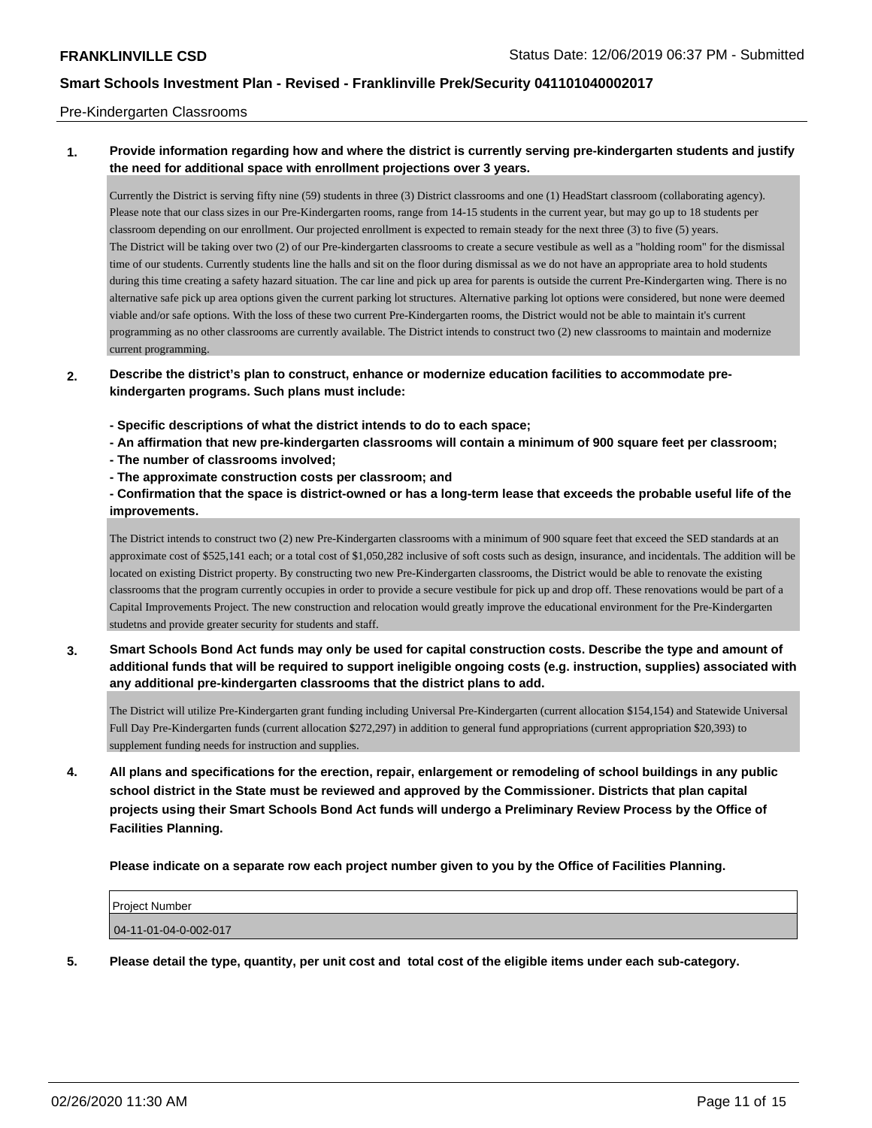#### Pre-Kindergarten Classrooms

### **1. Provide information regarding how and where the district is currently serving pre-kindergarten students and justify the need for additional space with enrollment projections over 3 years.**

Currently the District is serving fifty nine (59) students in three (3) District classrooms and one (1) HeadStart classroom (collaborating agency). Please note that our class sizes in our Pre-Kindergarten rooms, range from 14-15 students in the current year, but may go up to 18 students per classroom depending on our enrollment. Our projected enrollment is expected to remain steady for the next three (3) to five (5) years. The District will be taking over two (2) of our Pre-kindergarten classrooms to create a secure vestibule as well as a "holding room" for the dismissal time of our students. Currently students line the halls and sit on the floor during dismissal as we do not have an appropriate area to hold students during this time creating a safety hazard situation. The car line and pick up area for parents is outside the current Pre-Kindergarten wing. There is no alternative safe pick up area options given the current parking lot structures. Alternative parking lot options were considered, but none were deemed viable and/or safe options. With the loss of these two current Pre-Kindergarten rooms, the District would not be able to maintain it's current programming as no other classrooms are currently available. The District intends to construct two (2) new classrooms to maintain and modernize current programming.

### **2. Describe the district's plan to construct, enhance or modernize education facilities to accommodate prekindergarten programs. Such plans must include:**

- **Specific descriptions of what the district intends to do to each space;**
- **An affirmation that new pre-kindergarten classrooms will contain a minimum of 900 square feet per classroom;**
- **The number of classrooms involved;**
- **The approximate construction costs per classroom; and**

### **- Confirmation that the space is district-owned or has a long-term lease that exceeds the probable useful life of the improvements.**

The District intends to construct two (2) new Pre-Kindergarten classrooms with a minimum of 900 square feet that exceed the SED standards at an approximate cost of \$525,141 each; or a total cost of \$1,050,282 inclusive of soft costs such as design, insurance, and incidentals. The addition will be located on existing District property. By constructing two new Pre-Kindergarten classrooms, the District would be able to renovate the existing classrooms that the program currently occupies in order to provide a secure vestibule for pick up and drop off. These renovations would be part of a Capital Improvements Project. The new construction and relocation would greatly improve the educational environment for the Pre-Kindergarten studetns and provide greater security for students and staff.

**3. Smart Schools Bond Act funds may only be used for capital construction costs. Describe the type and amount of additional funds that will be required to support ineligible ongoing costs (e.g. instruction, supplies) associated with any additional pre-kindergarten classrooms that the district plans to add.**

The District will utilize Pre-Kindergarten grant funding including Universal Pre-Kindergarten (current allocation \$154,154) and Statewide Universal Full Day Pre-Kindergarten funds (current allocation \$272,297) in addition to general fund appropriations (current appropriation \$20,393) to supplement funding needs for instruction and supplies.

**4. All plans and specifications for the erection, repair, enlargement or remodeling of school buildings in any public school district in the State must be reviewed and approved by the Commissioner. Districts that plan capital projects using their Smart Schools Bond Act funds will undergo a Preliminary Review Process by the Office of Facilities Planning.**

**Please indicate on a separate row each project number given to you by the Office of Facilities Planning.**

| <b>Project Number</b>     |  |
|---------------------------|--|
| $ 04-11-01-04-0-002-017 $ |  |
|                           |  |

**5. Please detail the type, quantity, per unit cost and total cost of the eligible items under each sub-category.**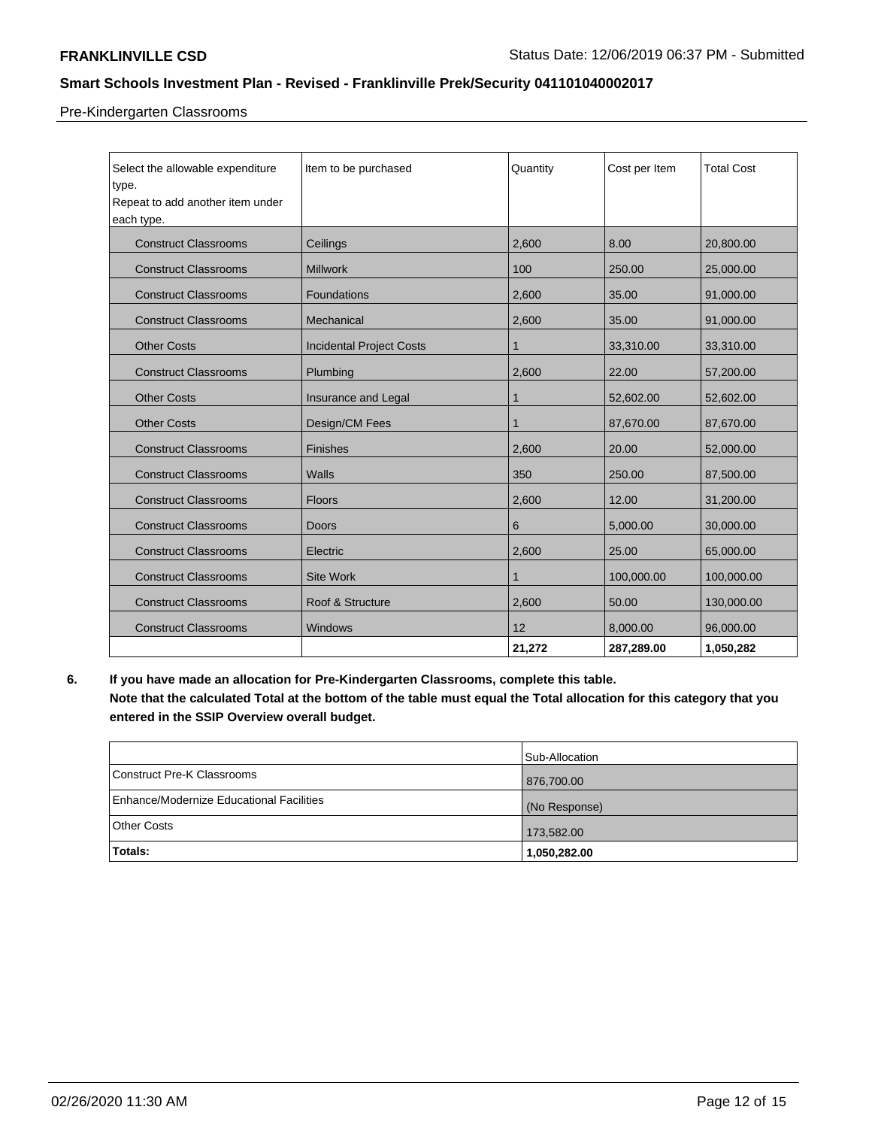Pre-Kindergarten Classrooms

| Select the allowable expenditure<br>type.<br>Repeat to add another item under<br>each type. | Item to be purchased            | Quantity | Cost per Item | <b>Total Cost</b> |
|---------------------------------------------------------------------------------------------|---------------------------------|----------|---------------|-------------------|
| <b>Construct Classrooms</b>                                                                 | Ceilings                        | 2,600    | 8.00          | 20,800.00         |
| <b>Construct Classrooms</b>                                                                 | <b>Millwork</b>                 | 100      | 250.00        | 25,000.00         |
| <b>Construct Classrooms</b>                                                                 | Foundations                     | 2,600    | 35.00         | 91,000.00         |
| <b>Construct Classrooms</b>                                                                 | Mechanical                      | 2,600    | 35.00         | 91,000.00         |
| <b>Other Costs</b>                                                                          | <b>Incidental Project Costs</b> | 1        | 33,310.00     | 33,310.00         |
| <b>Construct Classrooms</b>                                                                 | Plumbing                        | 2,600    | 22.00         | 57,200.00         |
| <b>Other Costs</b>                                                                          | Insurance and Legal             | 1        | 52,602.00     | 52,602.00         |
| <b>Other Costs</b>                                                                          | Design/CM Fees                  | 1        | 87,670.00     | 87,670.00         |
| <b>Construct Classrooms</b>                                                                 | <b>Finishes</b>                 | 2,600    | 20.00         | 52,000.00         |
| <b>Construct Classrooms</b>                                                                 | Walls                           | 350      | 250.00        | 87,500.00         |
| <b>Construct Classrooms</b>                                                                 | <b>Floors</b>                   | 2,600    | 12.00         | 31,200.00         |
| <b>Construct Classrooms</b>                                                                 | <b>Doors</b>                    | 6        | 5,000.00      | 30,000.00         |
| <b>Construct Classrooms</b>                                                                 | Electric                        | 2,600    | 25.00         | 65,000.00         |
| <b>Construct Classrooms</b>                                                                 | <b>Site Work</b>                | 1        | 100,000.00    | 100,000.00        |
| <b>Construct Classrooms</b>                                                                 | Roof & Structure                | 2,600    | 50.00         | 130,000.00        |
| <b>Construct Classrooms</b>                                                                 | Windows                         | 12       | 8,000.00      | 96,000.00         |
|                                                                                             |                                 | 21,272   | 287,289.00    | 1,050,282         |

**6. If you have made an allocation for Pre-Kindergarten Classrooms, complete this table. Note that the calculated Total at the bottom of the table must equal the Total allocation for this category that you entered in the SSIP Overview overall budget.**

|                                          | Sub-Allocation |
|------------------------------------------|----------------|
| Construct Pre-K Classrooms               | 876,700.00     |
| Enhance/Modernize Educational Facilities | (No Response)  |
| Other Costs                              | 173,582.00     |
| Totals:                                  | 1,050,282.00   |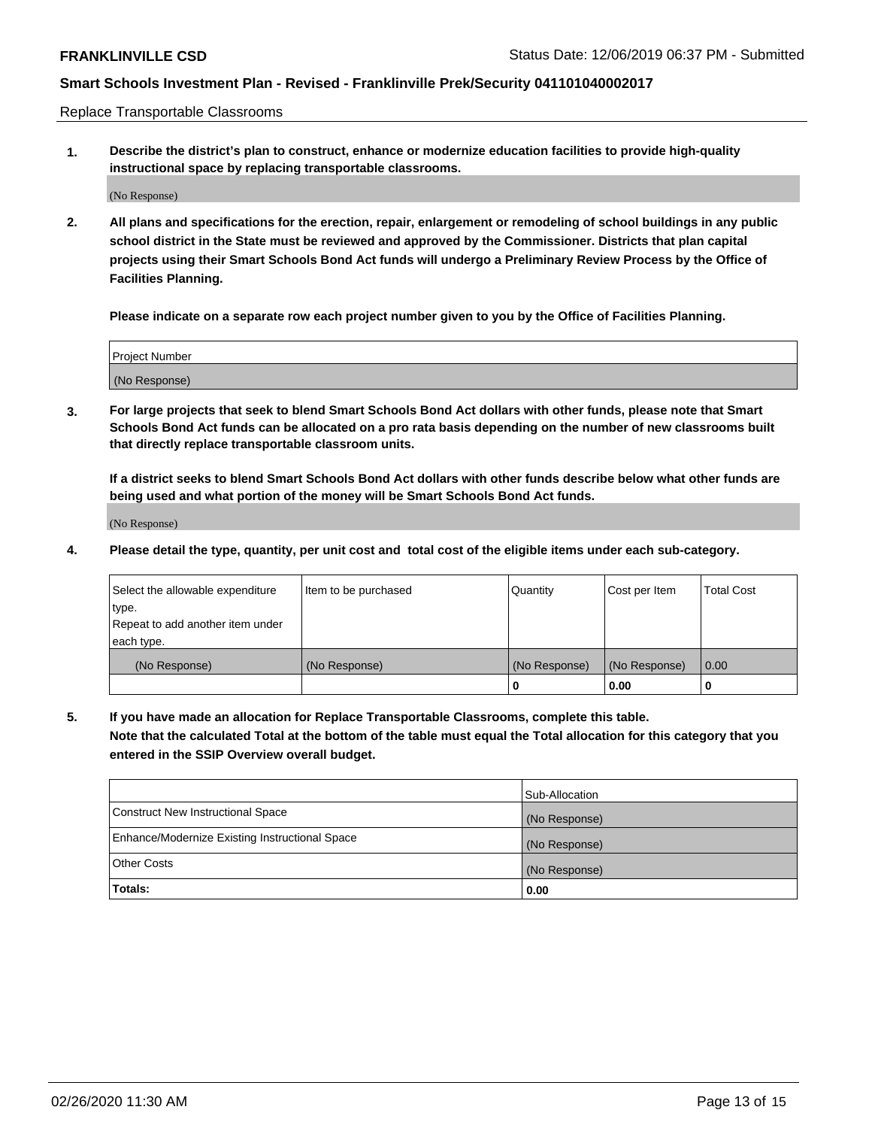Replace Transportable Classrooms

**1. Describe the district's plan to construct, enhance or modernize education facilities to provide high-quality instructional space by replacing transportable classrooms.**

(No Response)

**2. All plans and specifications for the erection, repair, enlargement or remodeling of school buildings in any public school district in the State must be reviewed and approved by the Commissioner. Districts that plan capital projects using their Smart Schools Bond Act funds will undergo a Preliminary Review Process by the Office of Facilities Planning.**

**Please indicate on a separate row each project number given to you by the Office of Facilities Planning.**

| Project Number |  |
|----------------|--|
|                |  |
| (No Response)  |  |

**3. For large projects that seek to blend Smart Schools Bond Act dollars with other funds, please note that Smart Schools Bond Act funds can be allocated on a pro rata basis depending on the number of new classrooms built that directly replace transportable classroom units.**

**If a district seeks to blend Smart Schools Bond Act dollars with other funds describe below what other funds are being used and what portion of the money will be Smart Schools Bond Act funds.**

(No Response)

**4. Please detail the type, quantity, per unit cost and total cost of the eligible items under each sub-category.**

| Select the allowable expenditure | Item to be purchased | Quantity      | Cost per Item | Total Cost |
|----------------------------------|----------------------|---------------|---------------|------------|
| ∣type.                           |                      |               |               |            |
| Repeat to add another item under |                      |               |               |            |
| each type.                       |                      |               |               |            |
| (No Response)                    | (No Response)        | (No Response) | (No Response) | 0.00       |
|                                  |                      | u             | 0.00          |            |

**5. If you have made an allocation for Replace Transportable Classrooms, complete this table. Note that the calculated Total at the bottom of the table must equal the Total allocation for this category that you entered in the SSIP Overview overall budget.**

|                                                | Sub-Allocation |
|------------------------------------------------|----------------|
| Construct New Instructional Space              | (No Response)  |
| Enhance/Modernize Existing Instructional Space | (No Response)  |
| Other Costs                                    | (No Response)  |
| Totals:                                        | 0.00           |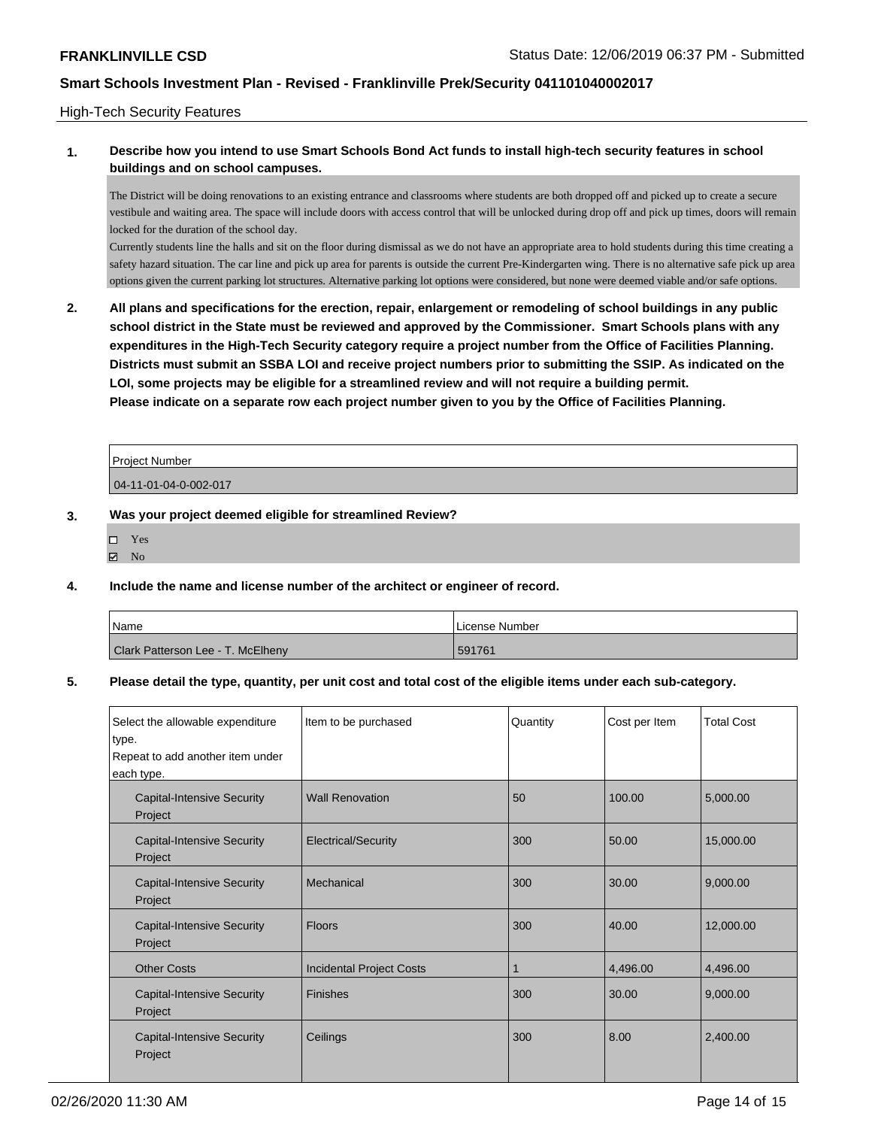### High-Tech Security Features

## **1. Describe how you intend to use Smart Schools Bond Act funds to install high-tech security features in school buildings and on school campuses.**

The District will be doing renovations to an existing entrance and classrooms where students are both dropped off and picked up to create a secure vestibule and waiting area. The space will include doors with access control that will be unlocked during drop off and pick up times, doors will remain locked for the duration of the school day.

Currently students line the halls and sit on the floor during dismissal as we do not have an appropriate area to hold students during this time creating a safety hazard situation. The car line and pick up area for parents is outside the current Pre-Kindergarten wing. There is no alternative safe pick up area options given the current parking lot structures. Alternative parking lot options were considered, but none were deemed viable and/or safe options.

**2. All plans and specifications for the erection, repair, enlargement or remodeling of school buildings in any public school district in the State must be reviewed and approved by the Commissioner. Smart Schools plans with any expenditures in the High-Tech Security category require a project number from the Office of Facilities Planning. Districts must submit an SSBA LOI and receive project numbers prior to submitting the SSIP. As indicated on the LOI, some projects may be eligible for a streamlined review and will not require a building permit. Please indicate on a separate row each project number given to you by the Office of Facilities Planning.**

| Project Number        |  |
|-----------------------|--|
| 04-11-01-04-0-002-017 |  |

### **3. Was your project deemed eligible for streamlined Review?**

- Yes
- $\boxtimes$  No

### **4. Include the name and license number of the architect or engineer of record.**

| Name                              | License Number |
|-----------------------------------|----------------|
| Clark Patterson Lee - T. McElheny | 591761         |

## **5. Please detail the type, quantity, per unit cost and total cost of the eligible items under each sub-category.**

| Select the allowable expenditure<br>type.<br>Repeat to add another item under<br>each type. | Item to be purchased            | Quantity | Cost per Item | <b>Total Cost</b> |
|---------------------------------------------------------------------------------------------|---------------------------------|----------|---------------|-------------------|
| <b>Capital-Intensive Security</b><br>Project                                                | <b>Wall Renovation</b>          | 50       | 100.00        | 5,000.00          |
| <b>Capital-Intensive Security</b><br>Project                                                | <b>Electrical/Security</b>      | 300      | 50.00         | 15,000.00         |
| <b>Capital-Intensive Security</b><br>Project                                                | Mechanical                      | 300      | 30.00         | 9,000.00          |
| <b>Capital-Intensive Security</b><br>Project                                                | <b>Floors</b>                   | 300      | 40.00         | 12,000.00         |
| <b>Other Costs</b>                                                                          | <b>Incidental Project Costs</b> |          | 4,496.00      | 4,496.00          |
| <b>Capital-Intensive Security</b><br>Project                                                | <b>Finishes</b>                 | 300      | 30.00         | 9,000.00          |
| <b>Capital-Intensive Security</b><br>Project                                                | Ceilings                        | 300      | 8.00          | 2,400.00          |